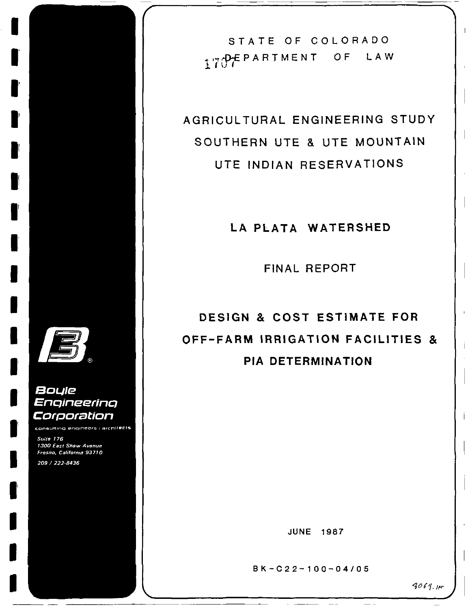I

I

I

I

II

II

II

I

I

I

I

I

I

I

I

I

I

I

I

# Boule Engineering Corporation

consulting engineers ; architects

Suite 176 1300 East Shaw Avenue Fresno, California 93710 209 / 222-8436

STATE OF COLORADO PARTMENT OF LAW  $7$  I  $\cap$  1

AGRICUL TURAL ENGINEERING STUDY SOUTHERN UTE & UTE MOUNTAIN UTE INDIAN RESERVATIONS

LA PLATA WATERSHED

FINAL REPORT

DESIGN & COST ESTIMATE FOR OFF-FARM IRRIGATION FACILITIES & PIA DETERMINATION

JUNE 1987

 $B K - C 2 2 - 100 - 04 / 05$ 

 $\equiv$ 

 $\equiv$   $\equiv$ 

 $3064 m$ 

 $\mathbf{I}$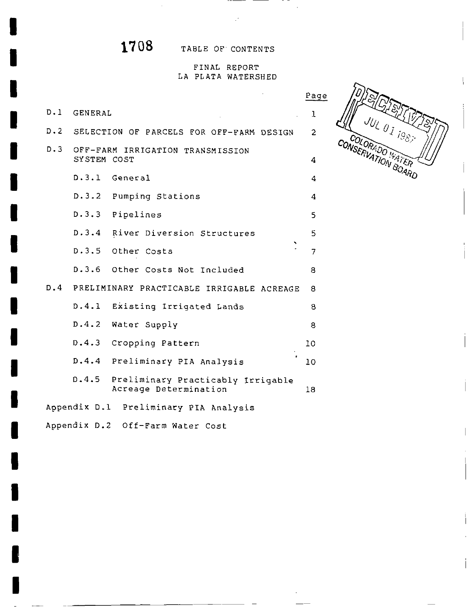I

I

I

I

I

I

I

I

I

I

I

I

I

I

I

I

I

I

I

1708 TABLE OF CONTENTS

## FINAL REPORT LA PLATA WATERSHED

**OLORADO LA SEPTEMBRA DE LA SEPTEMBRA DE LA SEPTEMBRA DE LA SEPTEMBRA DE LA SEPTEMBRA DE LA SEPTEMBRA DE LA SEP** 

COLORADO WATER

|         |             |                                                                  | Page           |
|---------|-------------|------------------------------------------------------------------|----------------|
|         | D.1 GENERAL |                                                                  | 1              |
| $D - 2$ |             | SELECTION OF PARCELS FOR OFF-FARM DESIGN                         | $\overline{2}$ |
| D.3     | SYSTEM COST | OFF-FARM IRRIGATION TRANSMISSION                                 | 4              |
|         |             | D.3.1 General                                                    | 4              |
|         |             | D.3.2 Pumping Stations                                           | 4              |
|         |             | D.3.3 Pipelines                                                  | 5              |
|         |             | D.3.4 River Diversion Structures                                 | 5              |
|         |             | D.3.5 Other Costs                                                | 7              |
|         |             | D.3.6 Other Costs Not Included                                   | 8              |
|         |             | D.4 PRELIMINARY PRACTICABLE IRRIGABLE ACREAGE                    | 8              |
|         |             | D.4.1 Existing Irrigated Lands                                   | 8              |
|         |             | D.4.2 Water Supply                                               | 8              |
|         | D.4.3       | Cropping Pattern                                                 | 10             |
|         |             | D.4.4 Preliminary PIA Analysis                                   | 10             |
|         |             | D.4.5 Preliminary Practicably Irrigable<br>Acreage Determination | 18             |
|         |             | Appendix D.1 Preliminary PIA Analysis                            |                |

Appendix D.2 Off-Farm Water Cost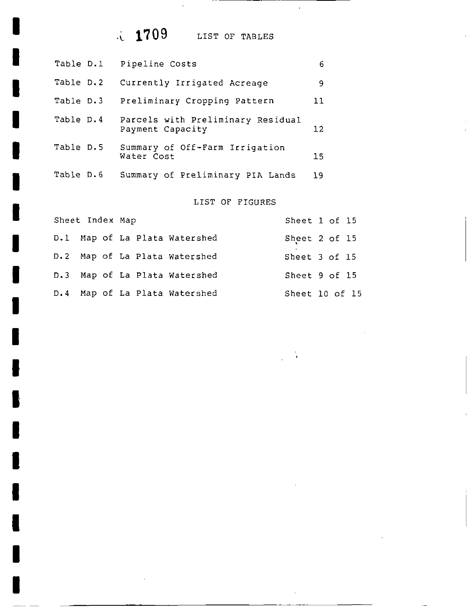# LIST OF TABLES

 $\mathcal{L}_{\mathbf{r}}$ 

I

I

I

I

I

I

I

I

I

I

I

I

I

I

I

I

I

I

I

| Table D.l | Pipeline Costs                                        | 6  |
|-----------|-------------------------------------------------------|----|
| Table D.2 | Currently Irrigated Acreage                           | 9  |
| Table D.3 | Preliminary Cropping Pattern                          | 11 |
| Table D.4 | Parcels with Preliminary Residual<br>Payment Capacity | 12 |
| Table D.5 | Summary of Off-Farm Irrigation<br>Water Cost          | 15 |
| Table D.6 | Summary of Preliminary PIA Lands                      | 19 |

# LIST OF FIGURES

 $\bar{z}$ 

| Sheet Index Map |                               | Sheet 1 of 15  |  |  |
|-----------------|-------------------------------|----------------|--|--|
|                 | D.1 Map of La Plata Watershed | Sheet 2 of 15  |  |  |
|                 | D.2 Map of La Plata Watershed | Sheet 3 of 15  |  |  |
|                 | D.3 Map of La Plata Watershed | Sheet 9 of 15  |  |  |
|                 | D.4 Map of La Plata Watershed | Sheet 10 of 15 |  |  |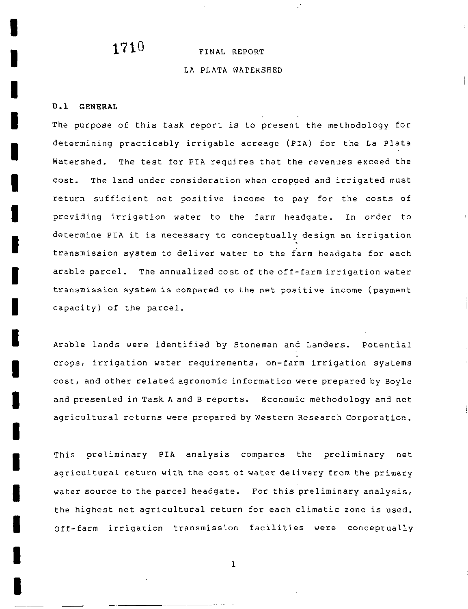# $1710$  FINAL REPORT

#### LA PLATA WATERSHED

### 0 1 GENERAL

I

I

I

I

I

I

I

I

I

I

I

I

I

I

I

I

I

I

I

The purpose of this task report is to present the methodology for determining practicably irrigable acreage (PIA) for the La Plata Watershed. The test for PIA requires that the revenues exceed the cost. The land under consideration when cropped and irrigated must return sufficient net positive income to pay for the costs of providing irrigation water to the farm headgate. In order to determine PIA it is necessary to conceptually design an irrigation transmission system to deliver water to the farm headgate for each arable parcel. The annualized cost of the off-farm irrigation water transmission system is compared to the net positive income (payment capacity) of the parcel.

Arable lands were identified by Stoneman and Landers. Potential crops, irrigation water requirements, on-farm irrigation systems cost and other related agronomic information were prepared by Boyle and presented in Task A and B reports. Economic methodology and net agricultural returns were prepared by Western Research Corporation

This preliminary PIA analysis compares the preliminary net agricultural return with the cost of water delivery from the primary water source to the parcel headgate. For this preliminary analysis, the highest net agricultural return for each climatic zone is used Off-farm irrigation transmission facilities were conceptually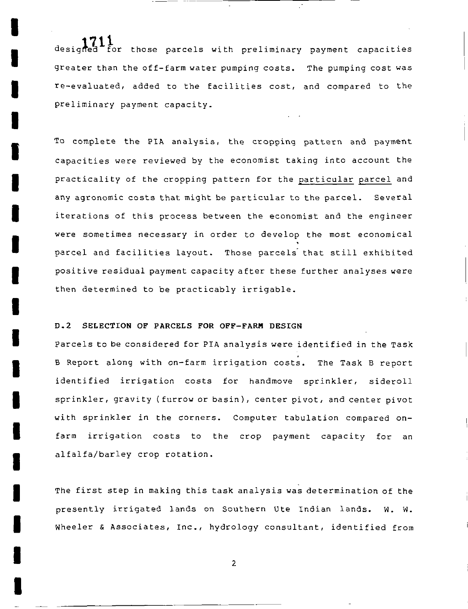designed for those parcels with preliminary payment capacities greater than the off-farm water pumping  ${\tt costs.}$  The pumping  ${\tt cost}$  was re-evaluated, added to the facilities cost, and compared to the preliminary payment capacity

To complete the PIA analysis, the cropping pattern and payment capacities were reviewed by the economist taking into account the practicality of the cropping pattern for the particular parcel and any agronomic costs that might be particular to the parcel. Several iterations of this process between the economist and the engineer were sometimes necessary in order to develop the most economical parcel and facilities layout. Those parcels that still exhibited positive residual payment capacity after these further analyses were then determined to be practicably irrigable

#### D.2 SELECTION OF PARCELS FOR OFF-FARM DESIGN

I

I

I

I

I

I

I

I

I

I

I

I

I

I

I

I

I

I

I

Parcels to be considered for PIA analysis were identified in the Task B Report along with on-farm irrigation costs. The Task B report identified irrigation costs for handmove sprinkler, sideroll sprinkler, gravity (furrow or basin), center pivot, and center pivot with sprinkler in the corners. Computer tabulation compared onfarm irrigation costs to the crop payment capacity for an alfalfa/barley crop rotation.

The first step in making this task analysis was determination of the presently irrigated lands on Southern Ute Indian lands. W. W. Wheeler & Associates, Inc., hydrology consultant, identified from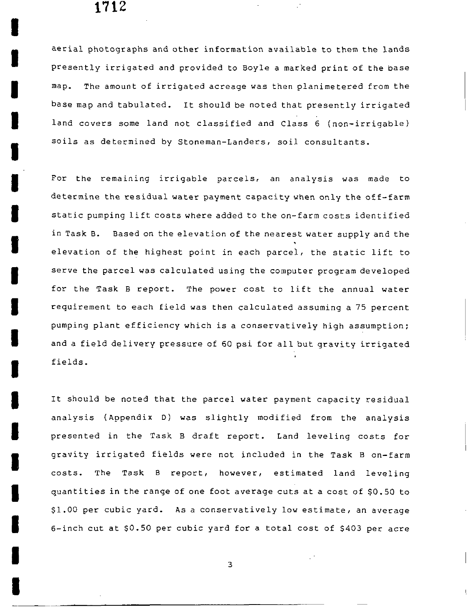I

I

I

I

I

I

I

I

I

I

I

I

I

I

I

I

I

I

I

aerial photographs and other information available to them the lands presently irrigated and provided to Boyle <sup>a</sup> marked print of the base map. The amount of irrigated acreage was then planimetered from the base map and tabulated. It should be noted that presently irrigated land covers some land not classified and Class 6 (non-irrigable) soils as determined by Stoneman-Landers, soil consultants.

For the remaining irrigable parcels, an analysis was made to determine the residual water payment capacity when only the off-farm static pumping lift costs where added to the on-farm costs identified in Task B. Based on the elevation of the nearest water supply and the elevation of the highest point in each parcel, the static lift to serve the parcel was calculated using the computer program developed for the Task B report. The power cost to lift the annual water requirement to each field was then calculated assuming <sup>a</sup> <sup>75</sup> percent pumping plant efficiency which is <sup>a</sup> conservatively high assumption and <sup>a</sup> field delivery pressure of <sup>60</sup> psi for all but gravity irrigated fields

It should be noted that the parcel water payment capacity residual analysis (Appendix D) was slightly modified from the analysis presented in the Task B draft report. Land leveling costs for gravity irrigated fields were not included in the Task B on-farm costs. The Task B report, however, estimated land leveling quantities in the range of one foot average cuts at a cost of \$0.50 to \$1.00 per cubic yard. As a conservatively low estimate, an average 6-inch cut at \$0.50 per cubic yard for a total cost of \$403 per acre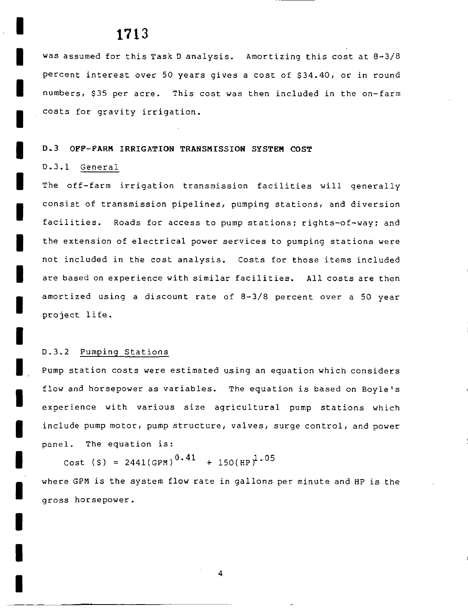was assumed for this Task D analysis. Amortizing this cost at 8-3/8 percent interest over 50 years gives a cost of \$34.40, or in round numbers, \$35 per acre. This cost was then included in the on-farm costs for gravity irrigation

#### D 3 OFF FARM IRRIGATION TRANSMISSION SYSTEM COST

### D.3.1 General

I

I

I

I

I

I

I

I

I

I

I

I

I

I

I

I

I

I

I

The off-farm irrigation transmission facilities will generally consist of transmission pipelines, pumping stations, and diversion facilities. Roads for access to pump stations; rights-of-way; and the extension of electrical power services to pumping stations were not included in the cost analysis. Costs for those items included are based on experience with similar facilities. All costs are then amortized using a discount rate of  $8-3/8$  percent over a 50 year project life

### D.3.2 Pumping Stations

Pump station costs were estimated using an equation which considers flow and horsepower as variables. The equation is based on Boyle's experience with various size agricultural pump stations which include pump motor, pump structure, valves, surge control, and power panel. The equation is:

Cost (\$) = 2441(GPM)<sup>0.41</sup> + 150(HP)<sup>1.05</sup>

where GPM is the system flow rate in gallons per minute and HP is the gross horsepower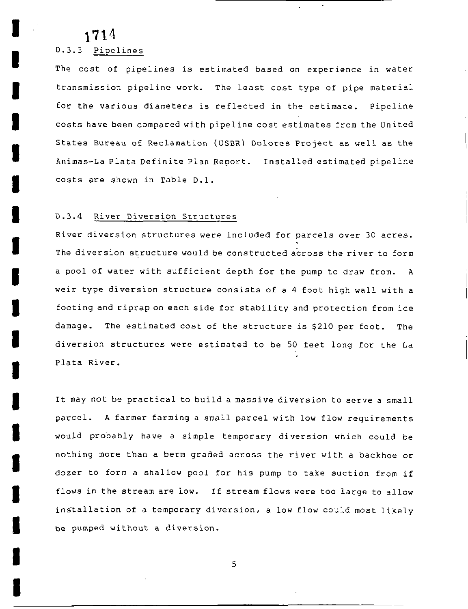I

I

I

I

I

I

I

I

I

I

I

I

I

I

I

I

I

I

I

## D.3.3 Pipelines

The cost of pipelines is estimated based on experience in water transmission pipeline work. The least cost type of pipe material for the various diameters is reflected in the estimate. Pipeline costs have been compared with pipeline cost estimates from the united States Bureau of Reclamation (USBR) Dolores Project as well as the Animas-La Plata Definite Plan Report. Installed estimated pipeline costs are shown in Table D.1.

#### D.3.4 River Diversion Structures

River diversion structures were included for parcels over <sup>30</sup> acres The diversion structure would be constructed across the river to form a pool of water with sufficient depth for the pump to draw from. A weir type diversion structure consists of <sup>a</sup> <sup>4</sup> foot high wall with <sup>a</sup> footing and riprap on each side for stability and protection from ice damage. The estimated cost of the structure is \$210 per foot. The diversion structures were estimated to be <sup>50</sup> feet long for the La Plata River

It may not be practical to build <sup>a</sup> massive diversion to serve <sup>a</sup> small parcel. A farmer farming a small parcel with low flow requirements would probably have a simple temporary diversion which could be nothing more than <sup>a</sup> berm graded across the river with <sup>a</sup> backhoe or dozer to form <sup>a</sup> shallow pool for his pump to take suction from if flows in the stream are low. If stream flows were too large to allow installation of a temporary diversion, a low flow could most likely be pumped without <sup>a</sup> diversion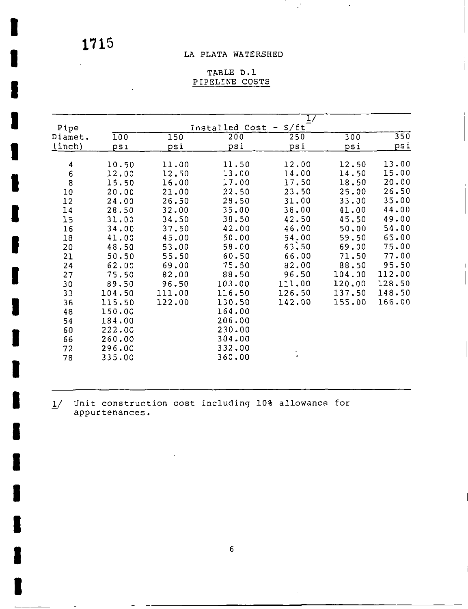I

I

I

I

I

I

I

I

I

I

I

I

I

I

I

I

I

I

I

## LA PLATA WATERSHED

 $\mathbb{R}^3$ 

 $\bar{\gamma}$ 

## TABLE D.1 PIPELINE COSTS

| Pipe                                  |        |        | Installed Cost | 1/<br>$- S/ft$ |        |            |
|---------------------------------------|--------|--------|----------------|----------------|--------|------------|
| Diamet.                               | 100    | 150    | 200            | 250            | 300    | 350        |
| (inch)                                | psi    | psi    | psi            | psi            | psi    | <u>psi</u> |
| $\boldsymbol{4}$                      | 10.50  | 11.00  | 11.50          | 12.00          | 12.50  | 13.00      |
|                                       | 12.00  | 12.50  | 13.00          | 14.00          | 14.50  | 15.00      |
| $\begin{array}{c} 6 \\ 8 \end{array}$ | 15.50  | 16.00  | 17.00          | 17.50          | 18.50  | 20.00      |
| 10                                    | 20.00  | 21.00  | 22.50          | 23.50          | 25.00  | 26.50      |
| 12                                    | 24.00  | 26.50  | 28.50          | 31.00          | 33.00  | 35.00      |
| 14                                    | 28.50  | 32.00  | 35.00          | 38.00          | 41.00  | 44.00      |
| 15                                    | 31.00  | 34.50  | 38.50          | 42.50          | 45.50  | 49.00      |
| 16                                    | 34.00  | 37.50  | 42.00          | 46.00          | 50.00  | 54.00      |
| 18                                    | 41.00  | 45.00  | 50.00          | 54.00          | 59.50  | 65.00      |
| 20                                    | 48.50  | 53.00  | 58.00          | 63.50          | 69.00  | 75.00      |
| 21                                    | 50.50  | 55.50  | 60.50          | 66.00          | 71.50  | 77.00      |
| 24                                    | 62.00  | 69.00  | 75.50          | 82.00          | 88.50  | 95.50      |
| 27                                    | 75.50  | 82.00  | 88.50          | 96.50          | 104.00 | 112.00     |
| 30                                    | 89.50  | 96.50  | 103.00         | 111.00         | 120.00 | 128.50     |
| 33                                    | 104.50 | 111.00 | 116.50         | 126.50         | 137.50 | 148.50     |
| 36                                    | 115.50 | 122.00 | 130.50         | 142.00         | 155.00 | 166.00     |
| 48                                    | 150.00 |        | 164.00         |                |        |            |
| 54                                    | 184.00 |        | 206.00         |                |        |            |
| 60                                    | 222.00 |        | 230.00         |                |        |            |
| 66                                    | 260.00 |        | 304.00         |                |        |            |
| 72                                    | 296.00 |        | 332.00         |                |        |            |
| 78                                    | 335.00 |        | 360.00         | $\bullet$      |        |            |

1/ Unit construction cost including 10% allowance for<br>appurtenances. appurtenances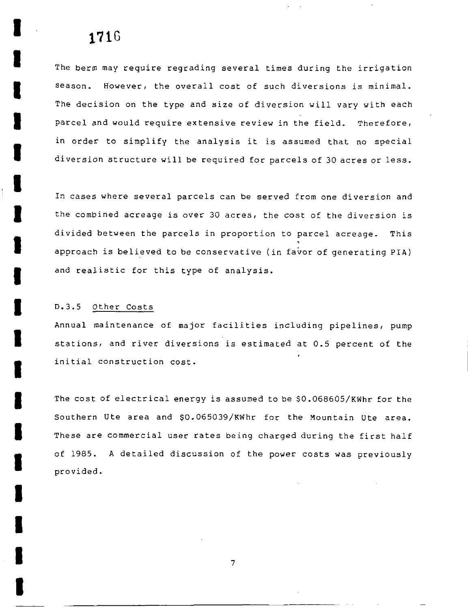# 171G

I

I

I

I

I

I

I

I

I

I

I

I

I

I

I

I

I

I

The berm may require regrading several times during the irrigation season. However, the overall cost of such diversions is minimal. The decision on the type and size of diversion will vary with each parcel and would require extensive review in the field. Therefore, in order to simplify the analysis it is assumed that no special diversion structure will be required for parcels of <sup>30</sup> acres or less

In cases where several parcels Can be served from one diversion and the combined acreage is over 30 acres, the cost of the diversion is divided between the parcels in proportion to parcel acreage. This approach is believed to be conservative (in favor of generating PIA) and realistic for this type of analysis

#### D.3.5 Other Costs

Annual maintenance of major facilities including pipelines, pump stations, and river diversions is estimated at 0.5 percent of the initial construction cost

The cost of electrical energy is assumed to be \$0.068605/KWhr for the Southern Ute area and \$0.065039/KWhr for the Mountain Ute area. These are commercial user rates being charged during the first half of 1985. A detailed discussion of the power costs was previously provided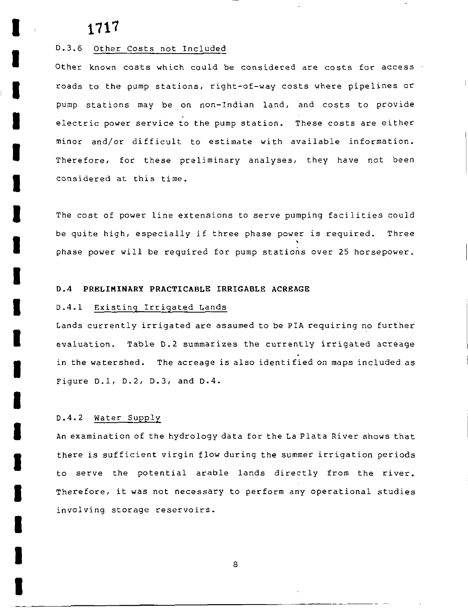I

I

I

I

I

I

I

I

I

I

I

I

I

I

I

I

I

I

I

#### D.3.6 Other Costs not Included

Other known costs which could be considered are costs for access  $\cdot$ roads to the pump stations, right-of-way costs where pipelines or pump stations may be on non-Indian land, and costs to provide electric power service to the pump station. These costs are either minor and/or difficult to estimate with available information. Therefore, for these preliminary analyses, they have not been considered at this time

The cost of power line extensions to serve pumping facilities could be quite high, especially if three phase power is required. Three phase power will be required for pump stations over <sup>25</sup> horsepower

#### 0 4 PRELIMINARY PRACTICABLE IRRIGABLE ACREAGE

#### D.4.1 Existing Irrigated Lands

Lands currently irrigated are assumed to be PIA requiring no further evaluation. Table D.2 summarizes the currently irrigated acreage in the watershed. The acreage is also identified on maps included as Figure D.1, D.2, D.3, and  $D-4$ .

#### D.4.2 Water Supply

An examination of the hydrology data for the La Plata River shows that there is sufficient virgin flow during the summer irrigation periods to serve the potential arable lands directly from the river Therefore, it was not necessary to perform any operational studies involving storage reservoirs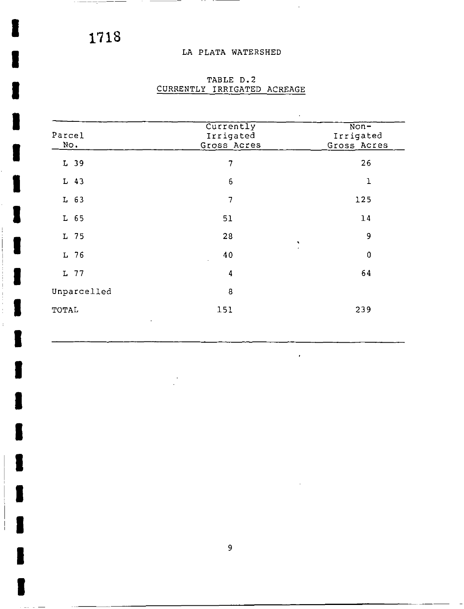--<del>------</del>-

I

I

I

I

I

I

I

I

I

I

I

I

I

I

I

I

# LA PLATA WATERSHED

 $\sim$ 

 $\mathbf{r}$ 

in the

| Parcel<br>No. | Currently<br>Irrigated<br>Gross Acres | $\overline{\text{Non}}$<br>Irrigated<br>Gross Acres |
|---------------|---------------------------------------|-----------------------------------------------------|
| L 39          | 7                                     | 26                                                  |
| $L$ 43        | $6\,$                                 | T                                                   |
| $L$ 63        | 7                                     | 125                                                 |
| $L$ 65        | 51                                    | 14                                                  |
| L 75          | 28                                    | 9<br>٠                                              |
| L 76          | 40                                    | $\mathbf 0$                                         |
| L 77          | 4                                     | 64                                                  |
| Unparcelled   | 8                                     |                                                     |
| TOTAL         | 151                                   | 239                                                 |

# TABLE D.2 CURRENTLY IRRIGATED ACREAGE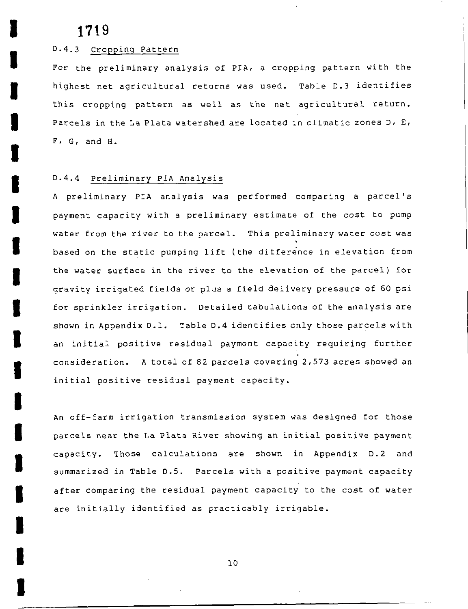I

I

I

I

I

I

I

I

I

I

I

I

I

I

I

I

I

I

I

### D.4.3 Cropping Pattern

For the preliminary analysis of PIA, a cropping pattern with the highest net agricultural returns was used. Table D.3 identifies this cropping pattern as well as the net agricultural return. Parcels in the La Plata watershed are located in climatic zones  $D_1$ ,  $E_1$  $F$ ,  $G$ , and  $H$ .

## D.4.4 Preliminary PIA Analysis

<sup>A</sup> preliminary PIA analysis was performed comparing <sup>a</sup> parcel <sup>s</sup> payment capacity with <sup>a</sup> preliminary estimate of the cost to pump water from the river to the parcel. This preliminary water cost was based on the static pumping lift (the difference in elevation from the water surface in the river to the elevation of the parcel) for gravity irrigated fields or plus <sup>a</sup> field delivery pressure of <sup>60</sup> psi for sprinkler irrigation. Detailed tabulations of the analysis are shown in Appendix D.1. Table D.4 identifies only those parcels with an initial positive residual payment capacity requiring further consideration. A total of 82 parcels covering 2,573 acres showed an initial positive residual payment capacity

An off-farm irrigation transmission system was designed for those parcels near the La Plata River showing an initial positive payment capacity. Those calculations are shown in Appendix D.2 and summarized in Table D.5. Parcels with a positive payment capacity after comparing the residual payment capacity to the cost of water are initially identified as practicably irrigable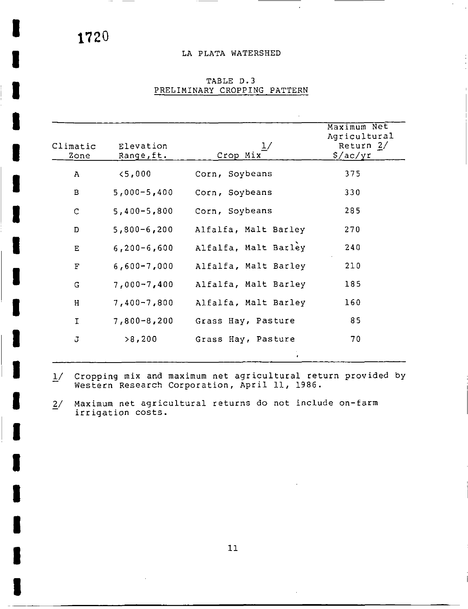$\cdot$   $-$ 

 $\overline{\phantom{a}}$ 

I

I

I

I

I

I

I

I

I

I

I

I

I

I

I

I

I

I

I

### LA PLATA WATERSHED

 $\bar{z}$ 

| $\mathbf{A}$<br>$\mathbf{B}$ | < 5,000           |                      |     |
|------------------------------|-------------------|----------------------|-----|
|                              |                   | Corn, Soybeans       | 375 |
|                              | $5,000 - 5,400$   | Corn, Soybeans       | 330 |
| $\mathsf{C}$                 | $5,400 - 5,800$   | Corn, Soybeans       | 285 |
| D                            | $5,800 - 6,200$   | Alfalfa, Malt Barley | 270 |
| E                            | $6, 200 - 6, 600$ | Alfalfa, Malt Barley | 240 |
| F                            | $6,600 - 7,000$   | Alfalfa, Malt Barley | 210 |
| G                            | $7,000 - 7,400$   | Alfalfa, Malt Barley | 185 |
| H                            | $7,400 - 7,800$   | Alfalfa, Malt Barley | 160 |
| $\mathbf I$                  | $7,800 - 8,200$   | Grass Hay, Pasture   | 85  |
| J                            | >8,200            | Grass Hay, Pasture   | 70  |

## TABLE D.3 PRELIMINARY CROPPING PATTERN

- 1/ Cropping mix and maximum net agricultural return provided by<br>Western Research Corporation, April 11, 1986.
- $2/$  Maximum net agricultural returns do not include on-farm irrigation costs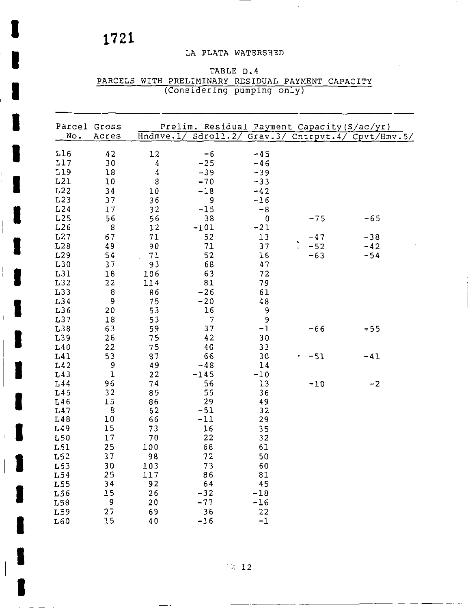I

I

I

I

 $\vert$ 

I

I I

I

I

I

I

# LA PLATA WATERSHED

# TABLE D.4 PARCELS WITH PRELIMINARY RESIDUAL PAYMENT CAPACITY Considering pumping only

| Parcel Gross |                |          |                |                | Prelim. Residual Payment Capacity (\$/ac/yr) |                                                         |
|--------------|----------------|----------|----------------|----------------|----------------------------------------------|---------------------------------------------------------|
| No.          | Acres          |          |                |                |                                              | Hndmve. 1/ Sdroll. 2/ Grav. 3/ Cntrpvt. 4/ Cpvt/Hmv. 5/ |
| L16          | 42             | 12       | $-6$           | $-45$          |                                              |                                                         |
| L17          | 30             | 4        | $-25$          | $-46$          |                                              |                                                         |
| L19          | 18             | 4        | $-39$          | $-39$          |                                              |                                                         |
| L21          | 10             | 8        | $-70$          | $-33$          |                                              |                                                         |
| L22          | 34             | 10       | $-18$          | $-42$          |                                              |                                                         |
| L23          | 37             | 36       | 9              | $-16$          |                                              |                                                         |
| L24          | 17             | 32       | $-15$          | $-8$           |                                              |                                                         |
| L25          | 56             | 56       | 38             | $\overline{0}$ | $-75$                                        | $-65$                                                   |
| L26          | 8              | 12       | $-101$         | $-21$          |                                              |                                                         |
| L27          | 67             | 71       | 52             | 13             | $-47$                                        | $-38$                                                   |
| L28          | 49             | 90       | 71             | 37             | $-52$                                        | $-42$                                                   |
| L29          | 54             | 71       | 52             | 16             | $-63$                                        | $-54$                                                   |
| L30          | 37             | 93       | 68             | 47             |                                              |                                                         |
| L31          | $1\,8$         | 106      | 63             | 72             |                                              |                                                         |
| L32          | 22             | 114      | 81             | 79             |                                              |                                                         |
| L33          | $\bf 8$        | 86       | $-26$          | 61             |                                              |                                                         |
| L34          | $\mathbf 9$    | 75       | $-20$          | 48             |                                              |                                                         |
| L36          | 20             | 53       | 16             | 9              |                                              |                                                         |
| L37          | 18             | 53       | $\overline{7}$ | 9              |                                              |                                                         |
| L38          | 63             | 59       | 37             | $-1$           | $-66$                                        | $-55$                                                   |
| L39          | 26             | 75       | 42             | 30             |                                              |                                                         |
| L40          |                | 75       | 40             | 33             |                                              |                                                         |
|              | 22             |          | 66             |                |                                              |                                                         |
| L41          | 53             | 87       | $-48$          | 30             | $-51$                                        | $-41$                                                   |
| L42          | 9<br>${\bf 1}$ | 49       |                | 14             |                                              |                                                         |
| L43          |                | 22       | $-145$         | $-10$          |                                              |                                                         |
| L44          | 96             | 74       | 56             | 13             | $-10$                                        | $-2$                                                    |
| L45          | 32             | 85       | 55             | 36             |                                              |                                                         |
| L46<br>L47   | 15<br>$\bf 8$  | 86<br>62 | 29<br>$-51$    | 49<br>32       |                                              |                                                         |
| L48          | $10\,$         | 66       | $-11$          | 29             |                                              |                                                         |
| L49          | 15             | 73       | 16             |                |                                              |                                                         |
| L50          | 17             | 70       | 22             | 35             |                                              |                                                         |
|              |                |          |                | 32             |                                              |                                                         |
| L51          | 25             | 100      | 68             | 61             |                                              |                                                         |
| L52          | 37             | 98       | 72             | 50             |                                              |                                                         |
| L53          | 30             | 103      | 73             | 60             |                                              |                                                         |
| L54          | 25             | 117      | 86             | 81             |                                              |                                                         |
| L55          | 34             | 92       | 64             | 45             |                                              |                                                         |
| L56          | 15             | 26       | $-32$          | $-18$          |                                              |                                                         |
| L58          | 9              | 20       | $-77$          | $-16$          |                                              |                                                         |
| L59          | 27             | 69       | 36             | 22             |                                              |                                                         |
| L60          | 15             | 40       | $-16$          | $-1$           |                                              |                                                         |

 $^{\circ}$  2 12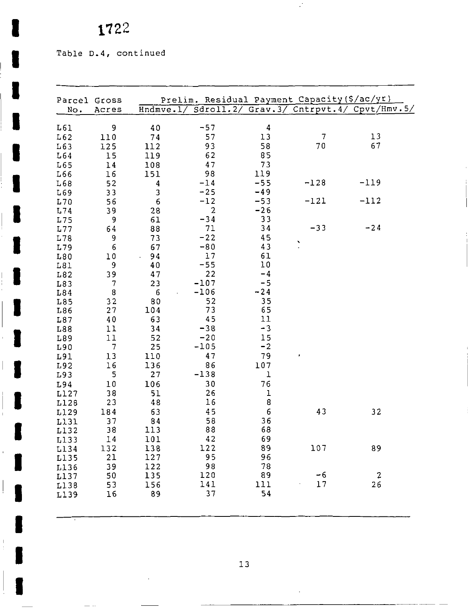Table D.4, continued

 $\overline{\phantom{a}}$ 

 $\begin{array}{c} 1 \\ 1 \end{array}$ 

 $\frac{1}{\cdot}$ 

 $\blacksquare$ 

 $\overline{\phantom{a}}$ 

 $\parallel$ J

 $\epsilon$ 

 $\frac{1}{2}$ 

 $\begin{bmatrix} 1 \\ 1 \\ 1 \end{bmatrix}$ 

I

| Parcel Gross |           |           |              |       | Prelim. Residual Payment Capacity (\$/ac/yr) |                                                    |
|--------------|-----------|-----------|--------------|-------|----------------------------------------------|----------------------------------------------------|
| No.          | Acres     |           |              |       |                                              | Hndmve.1/ Sdroll.2/ Grav.3/ Cntrpvt.4/ Cpvt/Hmv.5/ |
|              | 9         |           | $-57$        | 4     |                                              |                                                    |
| L61<br>L62   |           | 40        | 57           | 13    | $\overline{7}$                               | 13                                                 |
| L63          | 110       | 74<br>112 | 93           | 58    | 70                                           | 67                                                 |
| L64          | 125<br>15 | 119       | 62           | 85    |                                              |                                                    |
| L65          | 14        | 108       | 47           | 73    |                                              |                                                    |
| L66          | 16        | 151       | 98           | 119   |                                              |                                                    |
| L68          | 52        | 4         | $-14$        | $-55$ | $-128$                                       | $-119$                                             |
| L69          | 33        | 3         | $-25$        | $-49$ |                                              |                                                    |
| L70          | 56        | 6         | $-12$        | $-53$ | $-121$                                       | $-112$                                             |
| L74          | 39        | 28        | $\mathbf{2}$ | $-26$ |                                              |                                                    |
| L75          | 9         | 61        | $-34$        | 33    |                                              |                                                    |
| L77          | 64        | 88        | 71           | 34    | $-33$                                        | $-24$                                              |
| L78          | 9         | 73        | $-22$        | 45    |                                              |                                                    |
| L79          | 6         | 67        | $-80$        | 43    | Ň                                            |                                                    |
| L80          | 10        | 94        | 17           | 61    |                                              |                                                    |
| L81          | 9         | 40        | $-55$        | 10    |                                              |                                                    |
| L82          | 39        | 47        | 22           | $-4$  |                                              |                                                    |
| L83          | 7         | 23        | $-107$       | $-5$  |                                              |                                                    |
| L84          | $\bf 8$   | 6         | $-106$       | $-24$ |                                              |                                                    |
| L85          | 32        | 80        | 52           | 35    |                                              |                                                    |
| L86          | 27        | 104       | 73           | 65    |                                              |                                                    |
| L87          | 40        | 63        | 45           | 11    |                                              |                                                    |
| L88          | 11        | 34        | $-38$        | $-3$  |                                              |                                                    |
| L89          | 11        | 52        | $-20$        | 15    |                                              |                                                    |
| L90          | 7         | 25        | $-105$       | $-2$  |                                              |                                                    |
| L91          | 13        | 110       | 47           | 79    |                                              |                                                    |
| L92          | 16        | 136       | 86           | 107   |                                              |                                                    |
| L93          | 5         | 27        | $-138$       | ı     |                                              |                                                    |
| L94          | 10        | 106       | 30           | 76    |                                              |                                                    |
| L127         | 38        | 51        | 26           | ı     |                                              |                                                    |
| L128         | 23        | 48        | 16           | 8     |                                              |                                                    |
| L129         | 184       | 63        | 45           | 6     | 43                                           | 32                                                 |
| L131         | 37        | 84        | 58           | 36    |                                              |                                                    |
| L132         | 38        | 113       | 88           | 68    |                                              |                                                    |
| L133         | 14        | 101       | 42           | 69    |                                              |                                                    |
| L134         | 132       | 138       | 122          | 89    | 107                                          | 89                                                 |
| L135         | 21        | 127       | 95           | 96    |                                              |                                                    |
| L136         | 39        | 122       | 98           | 78    |                                              |                                                    |
| L137         | 50        | 135       | 120          | 89    | $-6$                                         | $\boldsymbol{z}$                                   |
| L138         | 53        | 156       | 141<br>37    | 111   | 17                                           | 26                                                 |
| L139         | 16        | 89        |              | 54    |                                              |                                                    |

 $\mathcal{L}$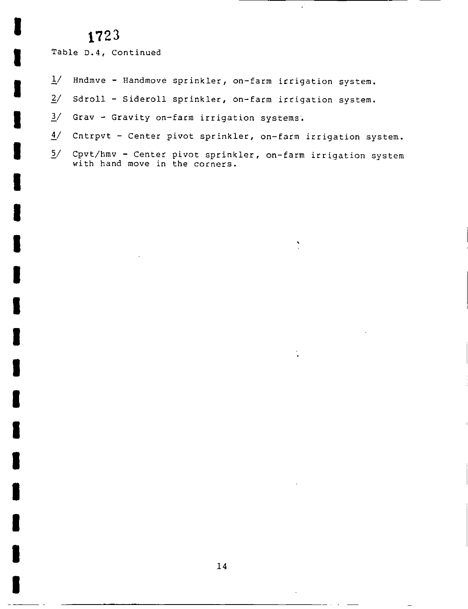I

I

I

I

I

I

I

I

I

I

I

I

I

I

I

I

I

I

I

Table D.4, Continued

- $\frac{1}{4}$  Hndmve Handmove sprinkler, on-farm irrigation system.
- Sdroll Sideroll sprinkler, on-farm irrigation system.  $\frac{2}{3}$  Sdroll - Sideroll sprinkler, on-farm irrig<br> $\frac{3}{3}$  Grav - Gravity on-farm irrigation systems.
- 
- $\frac{4}{ }$  Cntrpvt Center pivot sprinkler, on-farm irrigation system.
- $5/$ Cpvt/hmv - Center pivot sprinkler, on-farm irrigation system with hand move in the corners.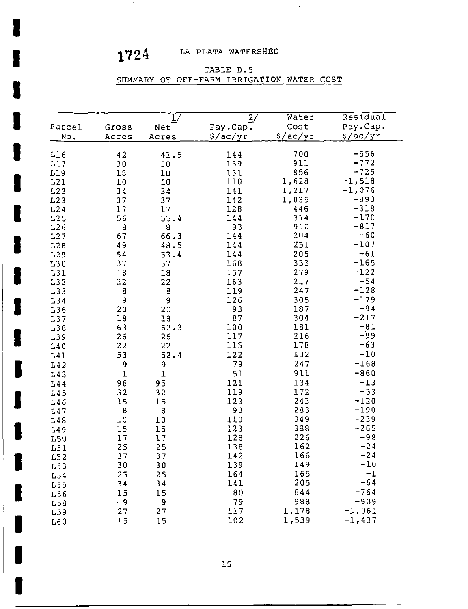$\sim$ 

I

I

I

I

I

I

I

I

I

I

I

I

I

I

I

I

I

I

# 1724 LA PLATA WATERSHED

 $\sim 10$ 

### TABLE D.5

# SUMMARY OF OFF-FARM IRRIGATION WATER COST

| Parcel<br>No. | Gross<br>Acres | 1/<br>Net<br>Acres | $\overline{2}/$<br>Pay.Cap.<br>$\frac{2}{2}$ /ac/yr | Water<br>Cost<br>S/ac/yr | Residual<br>Pay.Cap.<br>\$/ac/yr |
|---------------|----------------|--------------------|-----------------------------------------------------|--------------------------|----------------------------------|
| L16           | 42             | 41.5               | 144                                                 | 700                      | -556                             |
| L17           |                |                    | 139                                                 | 911                      | $-772$                           |
| L19           | 30<br>18       | 30<br>18           | 131                                                 | 856                      | $-725$                           |
| L21           | 10             | 10                 | 110                                                 | 1,628                    | $-1,518$                         |
| L22           | 34             | 34                 | 141                                                 | 1,217                    | $-1,076$                         |
| L23           | 37             | 37                 | 142                                                 | 1,035                    | $-893$                           |
| L24           | 17             | 17                 | 128                                                 | 446                      | $-318$                           |
| L25           | 56             | 55.4               | 144                                                 | 314                      | $-170$                           |
| L26           | 8              | 8                  | 93                                                  | 910                      | $-817$                           |
| L27           | 67             | 66.3               | 144                                                 | 204                      | $-60$                            |
| L28           | 49             | 48.5               | 144                                                 | 251                      | $-107$                           |
| L29           | 54             | 53.4               | 144                                                 | 205                      | $-61$                            |
| L30           | 37             | 37                 | 168                                                 | 333                      | $-165$                           |
| L31           | 18             | $1\,8$             | 157                                                 | 279                      | $-122$                           |
| L32           | 22             | 22                 | 163                                                 | 217                      | $-54$                            |
| L33           | 8              | 8                  | 119                                                 | 247                      | $-128$                           |
| L34           | 9              | $\overline{9}$     | 126                                                 | 305                      | $-179$                           |
| L36           | 20             | 20                 | 93                                                  | 187                      | $-94$                            |
| L37           | 18             | 18                 | 87                                                  | 304                      | $-217$                           |
| L38           | 63             | 62.3               | 100                                                 | 181                      | $-81$                            |
| L39           | 26             | 26                 | 117                                                 | 216                      | -99                              |
| L40           | 22             | 22                 | 115                                                 | 178                      | $-63$                            |
| L41           | 53             | 52.4               | 122                                                 | 132                      | $-10$                            |
| L42           | 9              | 9                  | 79                                                  | 247                      | $-168$                           |
| L43           | $\mathbf{1}$   | $\overline{1}$     | 51                                                  | 911                      | $-860$                           |
| L44           | 96             | 95                 | 121                                                 | 134                      | $-13$                            |
| L45           | 32             | 32                 | 119                                                 | 172                      | $-53$                            |
| L46           | 15             | 15                 | 123                                                 | 243                      | $-120$                           |
| L47           | 8              | 8                  | 93                                                  | 283                      | $-190$                           |
| L48           | 10             | $1\,0$             | 110                                                 | 349                      | $-239$                           |
| L49           | 15             | 15                 | 123                                                 | 388                      | $-265$                           |
| L50           | 17             | 17                 | 128                                                 | 226                      | $-98$                            |
| L51           | 25             | 25                 | 138                                                 | 162                      | $-24$                            |
| L52           | 37             | 37                 | 142                                                 | 166                      | $-24$                            |
| L53           | 30             | 30                 | 139                                                 | 149                      | $-10$                            |
| L54           | 25             | 25                 | 164                                                 | 165                      | $-1$                             |
| L55           | 34             | 34                 | 141                                                 | 205                      | $-64$                            |
| L56           | 15             | 15                 | 80                                                  | 844                      | $-764$                           |
| L58           | $\cdot$ 9      | 9                  | 79                                                  | 988                      | $-909$                           |
| L59           | 27             | 27                 | 117                                                 | 1,178                    | $-1,061$                         |
| L60           | 15             | 15                 | 102                                                 | 1,539                    | $-1,437$                         |

 $\blacksquare$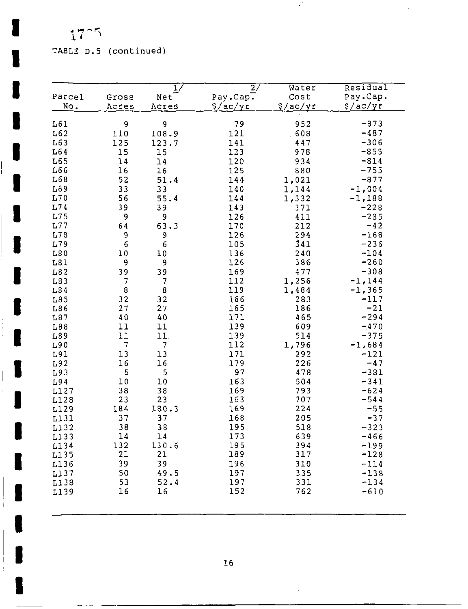r 1

I

I

I

I

I

I

I

I

I

I

I

 $\begin{array}{\sqrt{2}}$ 

I

I

I

 $\parallel$  **I** 

 $\mathbb T$  $\mathbf{I}$ 

I

# TABLE D <sup>5</sup> continued

|              |                |                                |                |               | Residual         |
|--------------|----------------|--------------------------------|----------------|---------------|------------------|
| Parcel       |                | ı,                             | 2/<br>Pay.Cap. | Water<br>Cost | Pay.Cap.         |
| No.          | Gross<br>Acres | Net                            |                |               | \$/ac/yr         |
|              |                | Acres                          | \$/ac/yr       | \$/ac/yr      |                  |
| L61          | 9              | 9                              | 79             | 952           | $-873$           |
| L62          | 110            | 108.9                          | 121            | 608           | $-487$           |
| L63          | 125            | 123.7                          | 141            | 447           | $-306$           |
| L64          | 15             | 15                             | 123            | 978           | $-855$           |
| L65          | 14             | 14                             | 120            | 934           | $-814$           |
| L66          | 16             | 16                             | 125            | 880           | $-755$           |
| <b>L68</b>   | 52             | 51.4                           | 144            | 1,021         | $-877$           |
| L69          | 33             | 33                             | 140            | 1,144         | $-1,004$         |
| L70          | 56             | 55.4                           | 144            | 1,332         | $-1,188$         |
| L74          | 39             | 39                             | 143            | 371           | $-228$           |
| L75          | 9              | 9                              | 126            | 411           | $-285$           |
| L77          | 64             | 63.3                           | 170            | 212           | $-42$            |
| L73          | 9              | 9                              | 126            | 294           | $-168$           |
| L79          | 6              | 6                              | 105            | 341           | $-236$           |
| L80          | 10<br>9        | 10                             | 136            | 240           | $-104$           |
| L81          | 39             | 9                              | 126<br>169     | 386<br>477    | $-260$<br>$-308$ |
| L82<br>L83   | $\overline{7}$ | 39<br>$\overline{\mathcal{L}}$ | 112            | 1,256         | $-1,144$         |
| L84          | 8              | 8                              | 119            | 1,484         | $-1,365$         |
| L85          | 32             | 32                             | 166            | 283           | $-117$           |
| L86          | 27             | 27                             | 165            | 186           | $-21$            |
| L87          | 40             | 40                             | 171            | 465           | $-294$           |
| L88          | 11             | 11                             | 139            | 609           | $-470$           |
| L89          | 11             | 11.                            | 139            | 514           | $-375$           |
| L90          | $\overline{7}$ | 7                              | 112            | 1,796         | $-1,684$         |
| L91          | 13             | 13                             | 171            | 292           | $-121$           |
| L92          | 16             | 16                             | 179            | 226           | $-47$            |
| L93          | 5              | 5                              | 97             | 478           | $-381$           |
| L94          | $1\,0$         | 10                             | 163            | 504           | $-341$           |
| L127         | 38             | 38                             | 169            | 793           | $-624$           |
| L128         | 23             | 23                             | 163            | 707           | $-544$           |
| L129         | 184            | 180.3                          | 169            | 224           | $-55$            |
| L131         | 37             | 37                             | 168            | 205           | $-37$            |
| L132         | 38<br>14       | 38<br>14                       | 195<br>173     | 518<br>639    | $-323$<br>$-466$ |
| L133<br>L134 | 132            | 130.6                          | 195            | 394           | $-199$           |
| L135         | 21             | 21                             | 189            | 317           | $-128$           |
| L136         | 39             | 39                             | 196            | 310           | $-114$           |
| L137         | 50             | 49.5                           | 197            | 335           | $-138$           |
| L138         | 53             | 52.4                           | 197            | 331           | $-134$           |
| L139         | 16             | 16                             | 152            | 762           | $-610$           |
|              |                |                                |                |               |                  |

 $\mathcal{L}^{\mathcal{L}}$ 

 $\bar{\mathcal{A}}$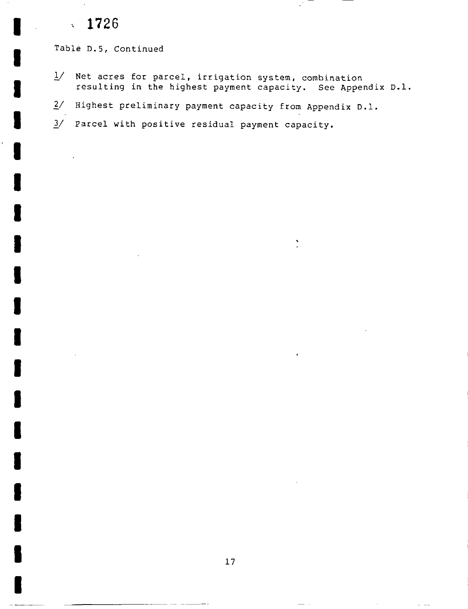#### 1726  $\mathbf{v}^{\top}$

I

I

I

I

I

I

I

I

I

I

I

I

I

I

I

I

I

I

I

Table D.5, Continued

- $1/$  Net acres for parcel, irrigation system, combination resulting in the highest payment capacity. See Appendix D.l.
- $2/$  Highest preliminary payment capacity from Appendix D.1.
- end of the commental payment capacity of the parcel with positive residual payment capacity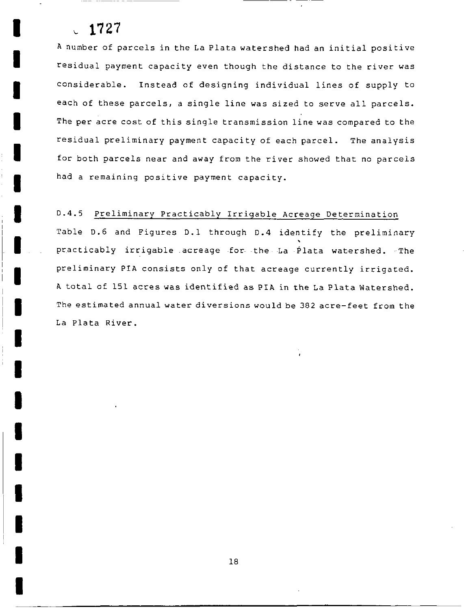I

I

I

I

I

I

I

I

I

I

I

I

I

I

I

I

I

I

I

<sup>A</sup> number of parcels in the La Plata watershed had an initial positive residual payment capacity even though the distance to the river was considerable. Instead of designing individual lines of supply to each of these parcels, a single line was sized to serve all parcels. The per acre cost of this single transmission line was compared to the residual preliminary payment capacity of each parcel. The analysis for both parcels near and away from the river showed that no parcels had a remaining positive payment capacity

## D.4.5 Preliminary Practicably Irrigable Acreage Determination

Table D.6 and Figures D.1 through D.4 identify the preliminary practicably irrigable acreage for the La Plata watershed. The preliminary PIA consists only of that acreage currently irrigated <sup>A</sup> total of <sup>151</sup> acres was identified as PIA in the La Plata Watershed The estimated annual water diversions would be 382 acre-feet from the La Plata River